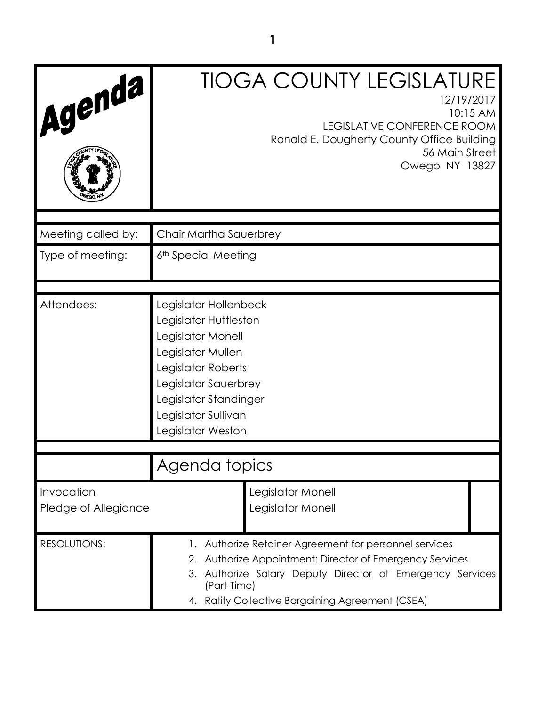| Agenda                             | <b>TIOGA COUNTY LEGISLATURE</b><br>12/19/2017<br>10:15 AM<br>LEGISLATIVE CONFERENCE ROOM<br>Ronald E. Dougherty County Office Building<br>56 Main Street<br>Owego NY 13827                                                                         |  |
|------------------------------------|----------------------------------------------------------------------------------------------------------------------------------------------------------------------------------------------------------------------------------------------------|--|
| Meeting called by:                 | Chair Martha Sauerbrey                                                                                                                                                                                                                             |  |
| Type of meeting:                   | 6 <sup>th</sup> Special Meeting                                                                                                                                                                                                                    |  |
| Attendees:                         | Legislator Hollenbeck<br>Legislator Huttleston<br>Legislator Monell<br>Legislator Mullen<br>Legislator Roberts<br>Legislator Sauerbrey<br>Legislator Standinger<br>Legislator Sullivan<br>Legislator Weston                                        |  |
|                                    | Agenda topics                                                                                                                                                                                                                                      |  |
| Invocation<br>Pledge of Allegiance | Legislator Monell<br>Legislator Monell                                                                                                                                                                                                             |  |
| <b>RESOLUTIONS:</b>                | 1. Authorize Retainer Agreement for personnel services<br>2. Authorize Appointment: Director of Emergency Services<br>3. Authorize Salary Deputy Director of Emergency Services<br>(Part-Time)<br>4. Ratify Collective Bargaining Agreement (CSEA) |  |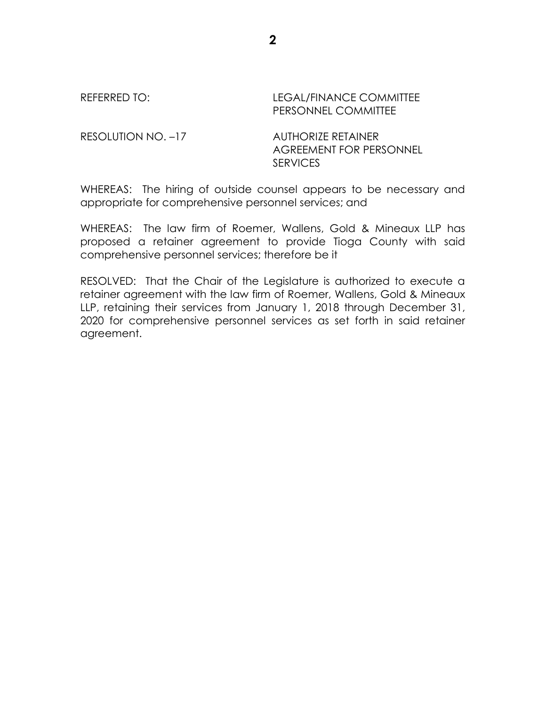REFERRED TO: LEGAL/FINANCE COMMITTEE PERSONNEL COMMITTEE

RESOLUTION NO. –17 AUTHORIZE RETAINER AGREEMENT FOR PERSONNEL **SERVICES** 

WHEREAS: The hiring of outside counsel appears to be necessary and appropriate for comprehensive personnel services; and

WHEREAS: The law firm of Roemer, Wallens, Gold & Mineaux LLP has proposed a retainer agreement to provide Tioga County with said comprehensive personnel services; therefore be it

RESOLVED: That the Chair of the Legislature is authorized to execute a retainer agreement with the law firm of Roemer, Wallens, Gold & Mineaux LLP, retaining their services from January 1, 2018 through December 31, 2020 for comprehensive personnel services as set forth in said retainer agreement.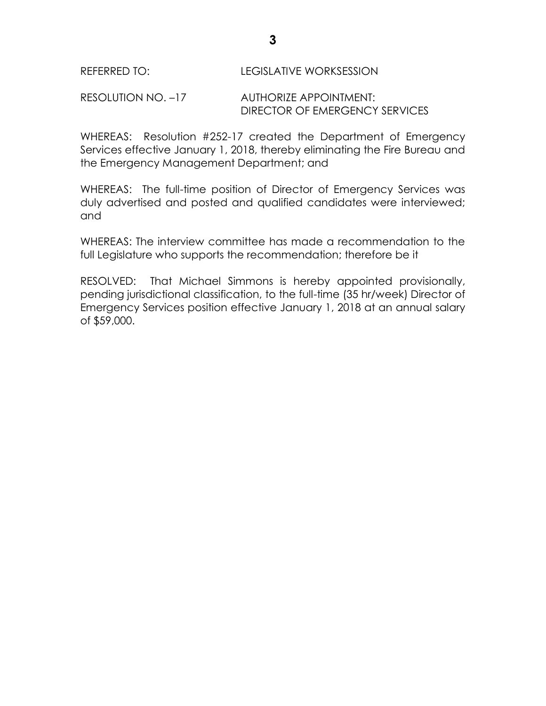## REFERRED TO: LEGISLATIVE WORKSESSION

## RESOLUTION NO. –17 AUTHORIZE APPOINTMENT: DIRECTOR OF EMERGENCY SERVICES

WHEREAS: Resolution #252-17 created the Department of Emergency Services effective January 1, 2018, thereby eliminating the Fire Bureau and the Emergency Management Department; and

WHEREAS: The full-time position of Director of Emergency Services was duly advertised and posted and qualified candidates were interviewed; and

WHEREAS: The interview committee has made a recommendation to the full Legislature who supports the recommendation; therefore be it

RESOLVED: That Michael Simmons is hereby appointed provisionally, pending jurisdictional classification, to the full-time (35 hr/week) Director of Emergency Services position effective January 1, 2018 at an annual salary of \$59,000.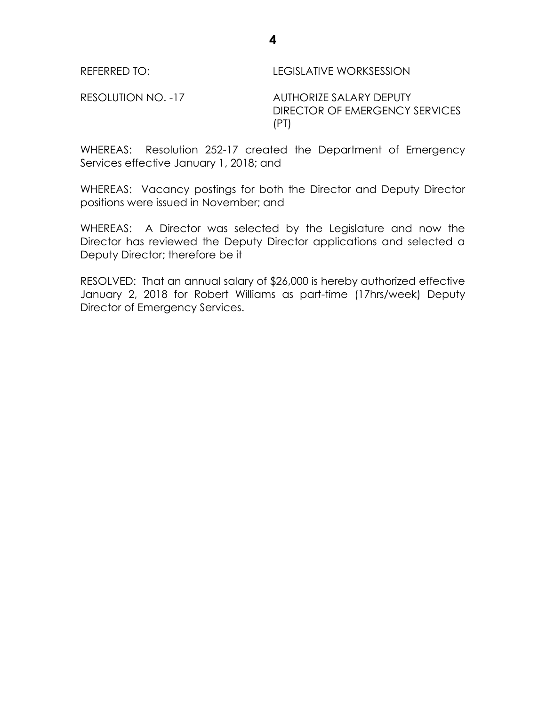| REFERRED TO:       | LEGISLATIVE WORKSESSION                                   |
|--------------------|-----------------------------------------------------------|
| RESOLUTION NO. -17 | AUTHORIZE SALARY DEPUTY<br>DIRECTOR OF EMERGENCY SERVICES |

WHEREAS: Resolution 252-17 created the Department of Emergency Services effective January 1, 2018; and

(PT)

WHEREAS: Vacancy postings for both the Director and Deputy Director positions were issued in November; and

WHEREAS: A Director was selected by the Legislature and now the Director has reviewed the Deputy Director applications and selected a Deputy Director; therefore be it

RESOLVED: That an annual salary of \$26,000 is hereby authorized effective January 2, 2018 for Robert Williams as part-time (17hrs/week) Deputy Director of Emergency Services.